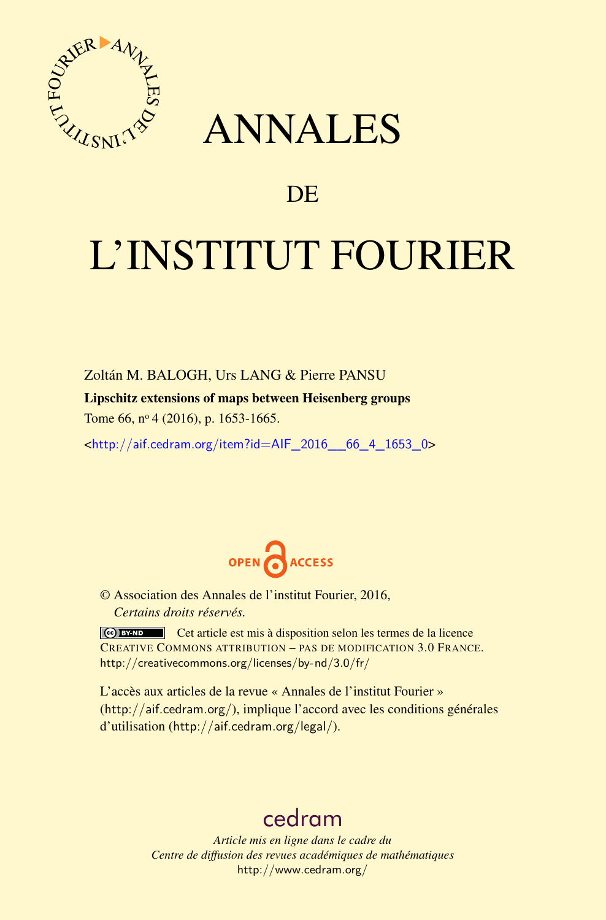

## ANNALES

### **DE**

# L'INSTITUT FOURIER

Zoltán M. BALOGH, Urs LANG & Pierre PANSU

Lipschitz extensions of maps between Heisenberg groups

Tome 66, nº 4 (2016), p. 1653-1665.

 $\kappa$ http://aif.cedram.org/item?id=AIF 2016 66 4 1653 0>



© Association des Annales de l'institut Fourier, 2016, *Certains droits réservés.*

Cet article est mis à disposition selon les termes de la licence CREATIVE COMMONS ATTRIBUTION – PAS DE MODIFICATION 3.0 FRANCE. <http://creativecommons.org/licenses/by-nd/3.0/fr/>

L'accès aux articles de la revue « Annales de l'institut Fourier » (<http://aif.cedram.org/>), implique l'accord avec les conditions générales d'utilisation (<http://aif.cedram.org/legal/>).

## [cedram](http://www.cedram.org/)

*Article mis en ligne dans le cadre du Centre de diffusion des revues académiques de mathématiques* <http://www.cedram.org/>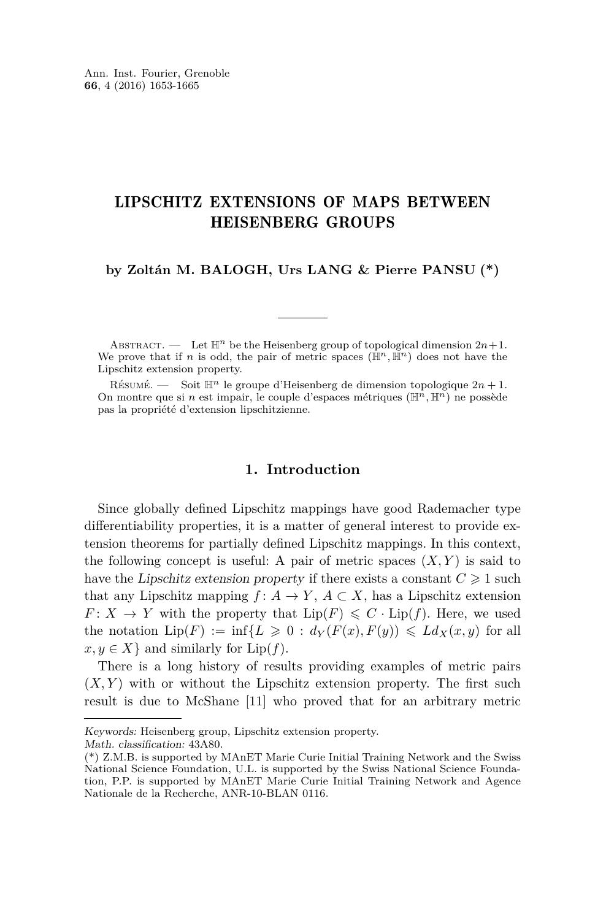#### LIPSCHITZ EXTENSIONS OF MAPS BETWEEN HEISENBERG GROUPS

**by Zoltán M. BALOGH, Urs LANG & Pierre PANSU (\*)**

ABSTRACT. — Let  $\mathbb{H}^n$  be the Heisenberg group of topological dimension  $2n+1$ . We prove that if *n* is odd, the pair of metric spaces ( $\mathbb{H}^n$ ,  $\mathbb{H}^n$ ) does not have the Lipschitz extension property.

RÉSUMÉ. — Soit  $\mathbb{H}^n$  le groupe d'Heisenberg de dimension topologique  $2n + 1$ . On montre que si *n* est impair, le couple d'espaces métriques  $(\mathbb{H}^n, \mathbb{H}^n)$  ne possède pas la propriété d'extension lipschitzienne.

#### **1. Introduction**

Since globally defined Lipschitz mappings have good Rademacher type differentiability properties, it is a matter of general interest to provide extension theorems for partially defined Lipschitz mappings. In this context, the following concept is useful: A pair of metric spaces  $(X, Y)$  is said to have the Lipschitz extension property if there exists a constant  $C \geq 1$  such that any Lipschitz mapping  $f: A \to Y$ ,  $A \subset X$ , has a Lipschitz extension  $F: X \to Y$  with the property that  $Lip(F) \leq C \cdot Lip(f)$ . Here, we used the notation  $\text{Lip}(F) := \inf\{L \geq 0 : d_Y(F(x), F(y)) \leq Ld_X(x, y)$  for all  $x, y \in X$  and similarly for Lip(f).

There is a long history of results providing examples of metric pairs  $(X, Y)$  with or without the Lipschitz extension property. The first such result is due to McShane [\[11\]](#page-12-0) who proved that for an arbitrary metric

Keywords: Heisenberg group, Lipschitz extension property. Math. classification: 43A80.

<sup>(\*)</sup> Z.M.B. is supported by MAnET Marie Curie Initial Training Network and the Swiss National Science Foundation, U.L. is supported by the Swiss National Science Foundation, P.P. is supported by MAnET Marie Curie Initial Training Network and Agence Nationale de la Recherche, ANR-10-BLAN 0116.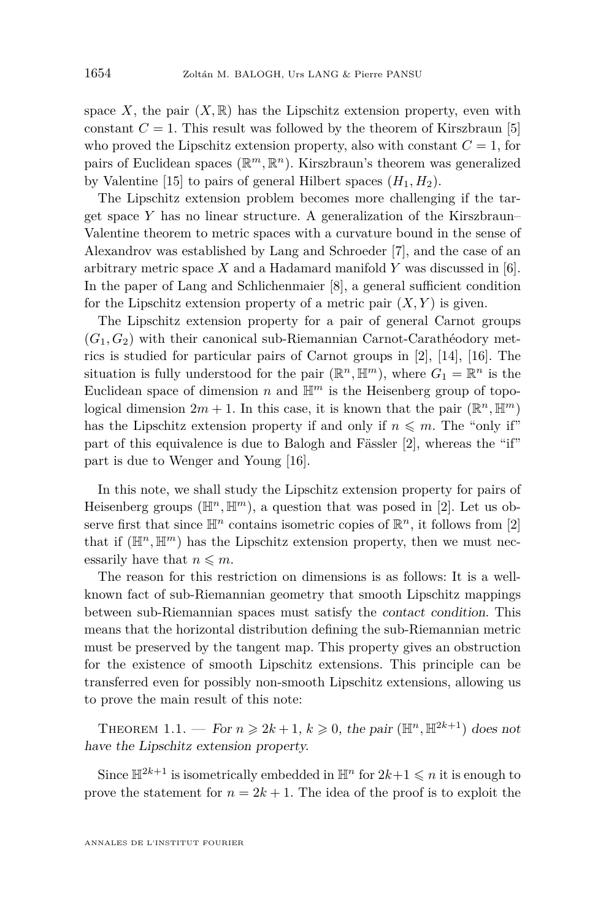space X, the pair  $(X,\mathbb{R})$  has the Lipschitz extension property, even with constant  $C = 1$ . This result was followed by the theorem of Kirszbraun [\[5\]](#page-12-1) who proved the Lipschitz extension property, also with constant  $C = 1$ , for pairs of Euclidean spaces ( $\mathbb{R}^m, \mathbb{R}^n$ ). Kirszbraun's theorem was generalized by Valentine [\[15\]](#page-13-0) to pairs of general Hilbert spaces  $(H_1, H_2)$ .

The Lipschitz extension problem becomes more challenging if the target space *Y* has no linear structure. A generalization of the Kirszbraun– Valentine theorem to metric spaces with a curvature bound in the sense of Alexandrov was established by Lang and Schroeder [\[7\]](#page-12-2), and the case of an arbitrary metric space *X* and a Hadamard manifold *Y* was discussed in [\[6\]](#page-12-3). In the paper of Lang and Schlichenmaier [\[8\]](#page-12-4), a general sufficient condition for the Lipschitz extension property of a metric pair  $(X, Y)$  is given.

The Lipschitz extension property for a pair of general Carnot groups  $(G_1, G_2)$  with their canonical sub-Riemannian Carnot-Carathéodory metrics is studied for particular pairs of Carnot groups in [\[2\]](#page-12-5), [\[14\]](#page-13-1), [\[16\]](#page-13-2). The situation is fully understood for the pair  $(\mathbb{R}^n, \mathbb{H}^m)$ , where  $G_1 = \mathbb{R}^n$  is the Euclidean space of dimension *n* and  $\mathbb{H}^m$  is the Heisenberg group of topological dimension  $2m + 1$ . In this case, it is known that the pair  $(\mathbb{R}^n, \mathbb{H}^m)$ has the Lipschitz extension property if and only if  $n \leq m$ . The "only if" part of this equivalence is due to Balogh and Fässler [\[2\]](#page-12-5), whereas the "if" part is due to Wenger and Young [\[16\]](#page-13-2).

In this note, we shall study the Lipschitz extension property for pairs of Heisenberg groups  $(\mathbb{H}^n, \mathbb{H}^m)$ , a question that was posed in [\[2\]](#page-12-5). Let us observe first that since  $\mathbb{H}^n$  contains isometric copies of  $\mathbb{R}^n$ , it follows from [\[2\]](#page-12-5) that if  $(\mathbb{H}^n, \mathbb{H}^m)$  has the Lipschitz extension property, then we must necessarily have that  $n \leq m$ .

The reason for this restriction on dimensions is as follows: It is a wellknown fact of sub-Riemannian geometry that smooth Lipschitz mappings between sub-Riemannian spaces must satisfy the contact condition. This means that the horizontal distribution defining the sub-Riemannian metric must be preserved by the tangent map. This property gives an obstruction for the existence of smooth Lipschitz extensions. This principle can be transferred even for possibly non-smooth Lipschitz extensions, allowing us to prove the main result of this note:

<span id="page-2-0"></span>THEOREM 1.1. — For  $n \geq 2k+1$ ,  $k \geq 0$ , the pair  $(\mathbb{H}^n, \mathbb{H}^{2k+1})$  does not have the Lipschitz extension property.

Since  $\mathbb{H}^{2k+1}$  is isometrically embedded in  $\mathbb{H}^n$  for  $2k+1 \leq n$  it is enough to prove the statement for  $n = 2k + 1$ . The idea of the proof is to exploit the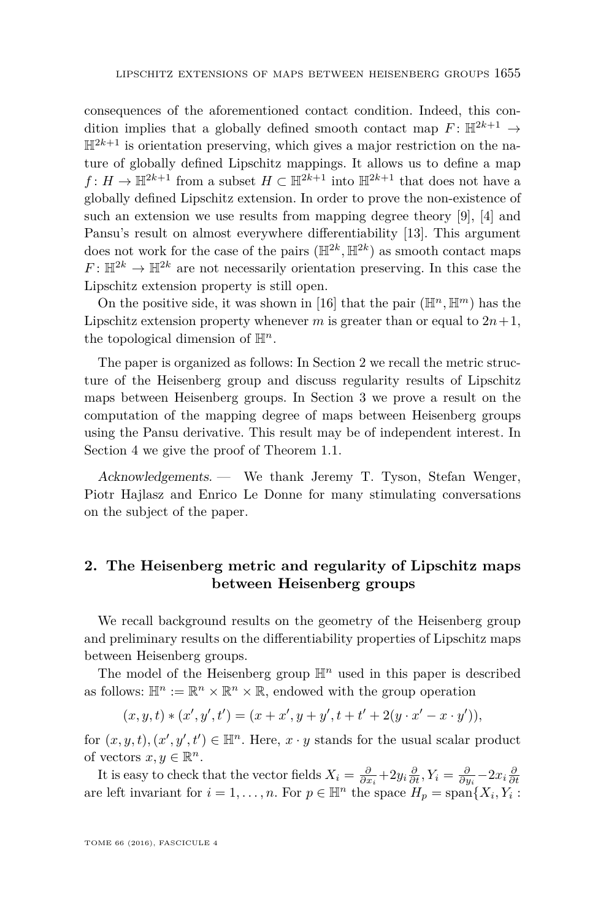consequences of the aforementioned contact condition. Indeed, this condition implies that a globally defined smooth contact map  $F: \mathbb{H}^{2k+1} \to$  $\mathbb{H}^{2k+1}$  is orientation preserving, which gives a major restriction on the nature of globally defined Lipschitz mappings. It allows us to define a map *f* : *H* →  $\mathbb{H}^{2k+1}$  from a subset *H* ⊂  $\mathbb{H}^{2k+1}$  into  $\mathbb{H}^{2k+1}$  that does not have a globally defined Lipschitz extension. In order to prove the non-existence of such an extension we use results from mapping degree theory [\[9\]](#page-12-6), [\[4\]](#page-12-7) and Pansu's result on almost everywhere differentiability [\[13\]](#page-13-3). This argument does not work for the case of the pairs  $(\mathbb{H}^{2k}, \mathbb{H}^{2k})$  as smooth contact maps  $F: \mathbb{H}^{2k} \to \mathbb{H}^{2k}$  are not necessarily orientation preserving. In this case the Lipschitz extension property is still open.

On the positive side, it was shown in [\[16\]](#page-13-2) that the pair  $(\mathbb{H}^n, \mathbb{H}^m)$  has the Lipschitz extension property whenever *m* is greater than or equal to  $2n+1$ , the topological dimension of  $\mathbb{H}^n$ .

The paper is organized as follows: In Section 2 we recall the metric structure of the Heisenberg group and discuss regularity results of Lipschitz maps between Heisenberg groups. In Section 3 we prove a result on the computation of the mapping degree of maps between Heisenberg groups using the Pansu derivative. This result may be of independent interest. In Section 4 we give the proof of Theorem [1.1.](#page-2-0)

Acknowledgements. — We thank Jeremy T. Tyson, Stefan Wenger, Piotr Hajlasz and Enrico Le Donne for many stimulating conversations on the subject of the paper.

#### **2. The Heisenberg metric and regularity of Lipschitz maps between Heisenberg groups**

We recall background results on the geometry of the Heisenberg group and preliminary results on the differentiability properties of Lipschitz maps between Heisenberg groups.

The model of the Heisenberg group  $\mathbb{H}^n$  used in this paper is described as follows:  $\mathbb{H}^n := \mathbb{R}^n \times \mathbb{R}^n \times \mathbb{R}$ , endowed with the group operation

$$
(x, y, t) * (x', y', t') = (x + x', y + y', t + t' + 2(y \cdot x' - x \cdot y')),
$$

for  $(x, y, t)$ ,  $(x', y', t') \in \mathbb{H}^n$ . Here,  $x \cdot y$  stands for the usual scalar product of vectors  $x, y \in \mathbb{R}^n$ .

It is easy to check that the vector fields  $X_i = \frac{\partial}{\partial x_i} + 2y_i \frac{\partial}{\partial t}, Y_i = \frac{\partial}{\partial y_i} - 2x_i \frac{\partial}{\partial t}$ are left invariant for  $i = 1, ..., n$ . For  $p \in \mathbb{H}^n$  the space  $H_p = \text{span}\{X_i, Y_i:$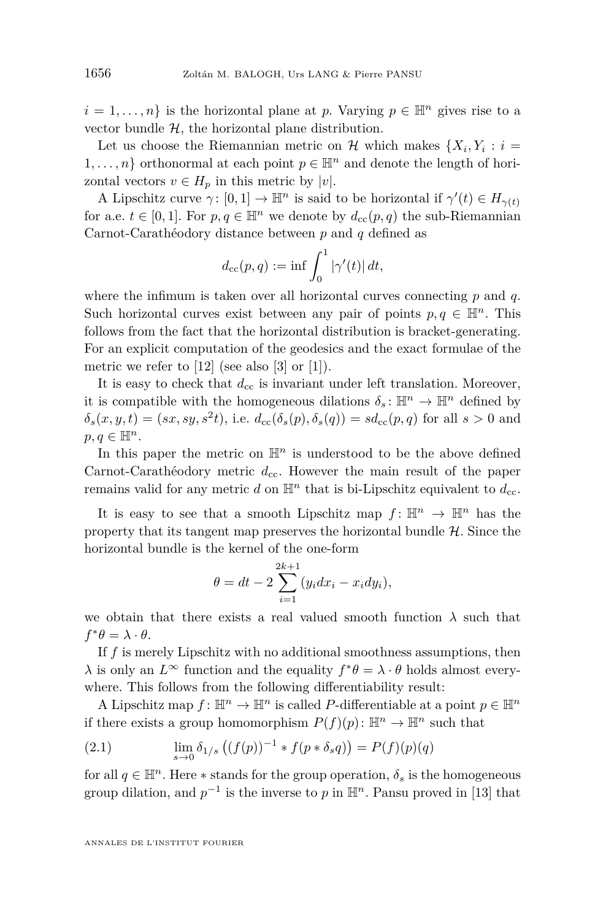$i = 1, \ldots, n$  is the horizontal plane at *p*. Varying  $p \in \mathbb{H}^n$  gives rise to a vector bundle  $H$ , the horizontal plane distribution.

Let us choose the Riemannian metric on  $\mathcal{H}$  which makes  $\{X_i, Y_i : i =$ 1, ..., *n*} orthonormal at each point  $p \in \mathbb{H}^n$  and denote the length of horizontal vectors  $v \in H_p$  in this metric by |*v*|.

A Lipschitz curve  $\gamma$ :  $[0, 1] \to \mathbb{H}^n$  is said to be horizontal if  $\gamma'(t) \in H_{\gamma(t)}$ for a.e.  $t \in [0, 1]$ . For  $p, q \in \mathbb{H}^n$  we denote by  $d_{cc}(p, q)$  the sub-Riemannian Carnot-Carathéodory distance between *p* and *q* defined as

$$
d_{\rm cc}(p,q) := \inf \int_0^1 |\gamma'(t)| dt,
$$

where the infimum is taken over all horizontal curves connecting *p* and *q*. Such horizontal curves exist between any pair of points  $p, q \in \mathbb{H}^n$ . This follows from the fact that the horizontal distribution is bracket-generating. For an explicit computation of the geodesics and the exact formulae of the metric we refer to [\[12\]](#page-13-4) (see also [\[3\]](#page-12-8) or [\[1\]](#page-12-9)).

It is easy to check that  $d_{\rm cc}$  is invariant under left translation. Moreover, it is compatible with the homogeneous dilations  $\delta_s : \mathbb{H}^n \to \mathbb{H}^n$  defined by  $\delta_s(x, y, t) = (sx, sy, s^2t)$ , i.e.  $d_{cc}(\delta_s(p), \delta_s(q)) = sd_{cc}(p, q)$  for all  $s > 0$  and  $p, q \in \mathbb{H}^n$ .

In this paper the metric on  $\mathbb{H}^n$  is understood to be the above defined Carnot-Carathéodory metric  $d_{cc}$ . However the main result of the paper remains valid for any metric *d* on  $\mathbb{H}^n$  that is bi-Lipschitz equivalent to  $d_{\rm cc}$ .

It is easy to see that a smooth Lipschitz map  $f: \mathbb{H}^n \to \mathbb{H}^n$  has the property that its tangent map preserves the horizontal bundle  $H$ . Since the horizontal bundle is the kernel of the one-form

$$
\theta = dt - 2 \sum_{i=1}^{2k+1} (y_i dx_i - x_i dy_i),
$$

we obtain that there exists a real valued smooth function  $\lambda$  such that  $f^*\theta = \lambda \cdot \theta$ .

If *f* is merely Lipschitz with no additional smoothness assumptions, then *λ* is only an *L*<sup>∞</sup> function and the equality *f*<sup>\**θ*</sup> = *λ* ⋅ *θ* holds almost everywhere. This follows from the following differentiability result:

A Lipschitz map  $f: \mathbb{H}^n \to \mathbb{H}^n$  is called *P*-differentiable at a point  $p \in \mathbb{H}^n$ if there exists a group homomorphism  $P(f)(p)$ :  $\mathbb{H}^n \to \mathbb{H}^n$  such that

<span id="page-4-0"></span>(2.1) 
$$
\lim_{s \to 0} \delta_{1/s} ((f(p))^{-1} * f(p * \delta_s q)) = P(f)(p)(q)
$$

for all  $q \in \mathbb{H}^n$ . Here  $*$  stands for the group operation,  $\delta_s$  is the homogeneous group dilation, and  $p^{-1}$  is the inverse to  $p$  in  $\mathbb{H}^n$ . Pansu proved in [\[13\]](#page-13-3) that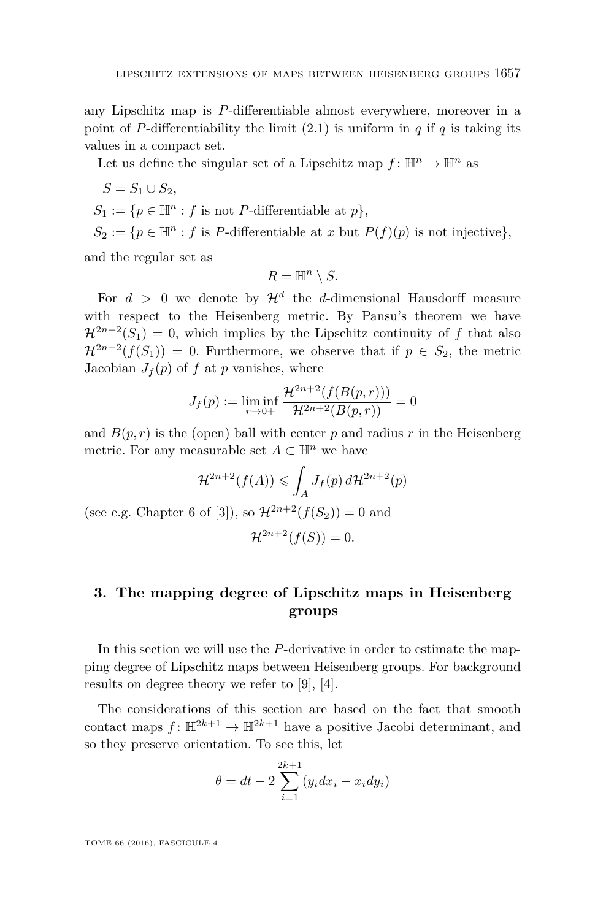any Lipschitz map is *P*-differentiable almost everywhere, moreover in a point of *P*-differentiability the limit  $(2.1)$  is uniform in *q* if *q* is taking its values in a compact set.

Let us define the singular set of a Lipschitz map  $f: \mathbb{H}^n \to \mathbb{H}^n$  as

$$
S = S_1 \cup S_2,
$$
  
\n
$$
S_1 := \{ p \in \mathbb{H}^n : f \text{ is not } P\text{-differential} \text{ be at } p \},
$$
  
\n
$$
S_2 := \{ p \in \mathbb{H}^n : f \text{ is } P\text{-differential} \text{ be at } x \text{ but } P(f)(p) \text{ is not injective} \},
$$

and the regular set as

$$
R=\mathbb{H}^n\setminus S.
$$

For  $d > 0$  we denote by  $\mathcal{H}^d$  the *d*-dimensional Hausdorff measure with respect to the Heisenberg metric. By Pansu's theorem we have  $\mathcal{H}^{2n+2}(S_1) = 0$ , which implies by the Lipschitz continuity of f that also  $\mathcal{H}^{2n+2}(f(S_1)) = 0$ . Furthermore, we observe that if  $p \in S_2$ , the metric Jacobian  $J_f(p)$  of  $f$  at  $p$  vanishes, where

$$
J_f(p) := \liminf_{r \to 0+} \frac{\mathcal{H}^{2n+2}(f(B(p,r)))}{\mathcal{H}^{2n+2}(B(p,r))} = 0
$$

and  $B(p,r)$  is the (open) ball with center p and radius r in the Heisenberg metric. For any measurable set  $A \subset \mathbb{H}^n$  we have

$$
\mathcal{H}^{2n+2}(f(A)) \leqslant \int_A J_f(p) \, d\mathcal{H}^{2n+2}(p)
$$

(see e.g. Chapter 6 of [\[3\]](#page-12-8)), so  $\mathcal{H}^{2n+2}(f(S_2)) = 0$  and

$$
\mathcal{H}^{2n+2}(f(S)) = 0.
$$

#### **3. The mapping degree of Lipschitz maps in Heisenberg groups**

In this section we will use the *P*-derivative in order to estimate the mapping degree of Lipschitz maps between Heisenberg groups. For background results on degree theory we refer to [\[9\]](#page-12-6), [\[4\]](#page-12-7).

The considerations of this section are based on the fact that smooth contact maps  $f: \mathbb{H}^{2k+1} \to \mathbb{H}^{2k+1}$  have a positive Jacobi determinant, and so they preserve orientation. To see this, let

$$
\theta = dt - 2 \sum_{i=1}^{2k+1} (y_i dx_i - x_i dy_i)
$$

TOME 66 (2016), FASCICULE 4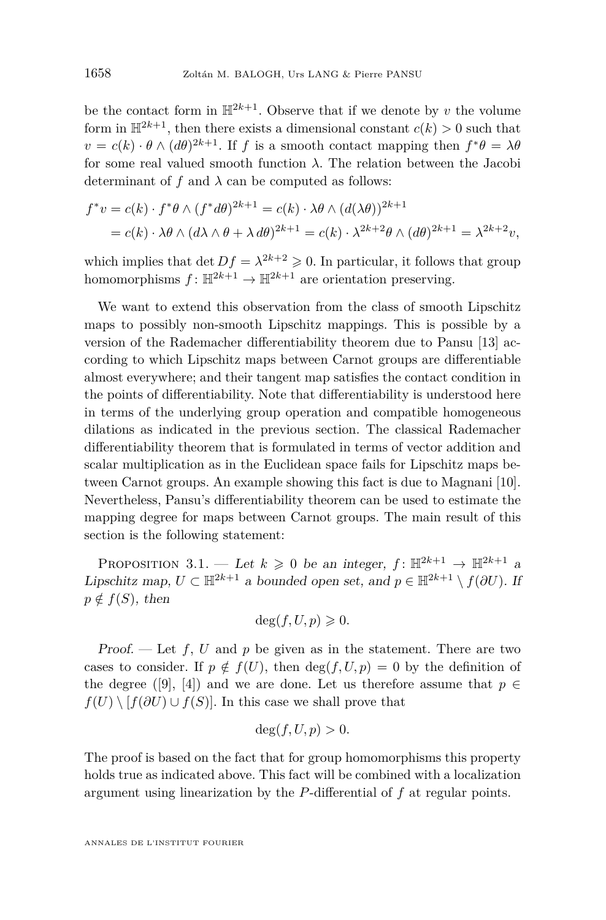be the contact form in  $\mathbb{H}^{2k+1}$ . Observe that if we denote by *v* the volume form in  $\mathbb{H}^{2k+1}$ , then there exists a dimensional constant  $c(k) > 0$  such that  $v = c(k) \cdot \theta \wedge (d\theta)^{2k+1}$ . If *f* is a smooth contact mapping then  $f^*\theta = \lambda\theta$ for some real valued smooth function *λ*. The relation between the Jacobi determinant of  $f$  and  $\lambda$  can be computed as follows:

$$
f^*v = c(k) \cdot f^* \theta \wedge (f^* d\theta)^{2k+1} = c(k) \cdot \lambda \theta \wedge (d(\lambda \theta))^{2k+1}
$$
  
= c(k) \cdot \lambda \theta \wedge (d\lambda \wedge \theta + \lambda d\theta)^{2k+1} = c(k) \cdot \lambda^{2k+2} \theta \wedge (d\theta)^{2k+1} = \lambda^{2k+2} v,

which implies that det  $Df = \lambda^{2k+2} \geqslant 0$ . In particular, it follows that group homomorphisms  $f: \mathbb{H}^{2k+1} \to \mathbb{H}^{2k+1}$  are orientation preserving.

We want to extend this observation from the class of smooth Lipschitz maps to possibly non-smooth Lipschitz mappings. This is possible by a version of the Rademacher differentiability theorem due to Pansu [\[13\]](#page-13-3) according to which Lipschitz maps between Carnot groups are differentiable almost everywhere; and their tangent map satisfies the contact condition in the points of differentiability. Note that differentiability is understood here in terms of the underlying group operation and compatible homogeneous dilations as indicated in the previous section. The classical Rademacher differentiability theorem that is formulated in terms of vector addition and scalar multiplication as in the Euclidean space fails for Lipschitz maps between Carnot groups. An example showing this fact is due to Magnani [\[10\]](#page-12-10). Nevertheless, Pansu's differentiability theorem can be used to estimate the mapping degree for maps between Carnot groups. The main result of this section is the following statement:

<span id="page-6-0"></span>PROPOSITION 3.1. — Let  $k \geq 0$  be an integer,  $f: \mathbb{H}^{2k+1} \to \mathbb{H}^{2k+1}$  a *Lipschitz* map, *U* ⊂  $\mathbb{H}^{2k+1}$  a bounded open set, and  $p \in \mathbb{H}^{2k+1} \setminus f(\partial U)$ . If  $p \notin f(S)$ , then

$$
\deg(f, U, p) \geq 0.
$$

Proof. — Let *f*, *U* and *p* be given as in the statement. There are two cases to consider. If  $p \notin f(U)$ , then  $deg(f, U, p) = 0$  by the definition of the degree ([\[9\]](#page-12-6), [\[4\]](#page-12-7)) and we are done. Let us therefore assume that  $p \in$  $f(U) \setminus [f(\partial U) \cup f(S)]$ . In this case we shall prove that

$$
\deg(f, U, p) > 0.
$$

The proof is based on the fact that for group homomorphisms this property holds true as indicated above. This fact will be combined with a localization argument using linearization by the *P*-differential of *f* at regular points.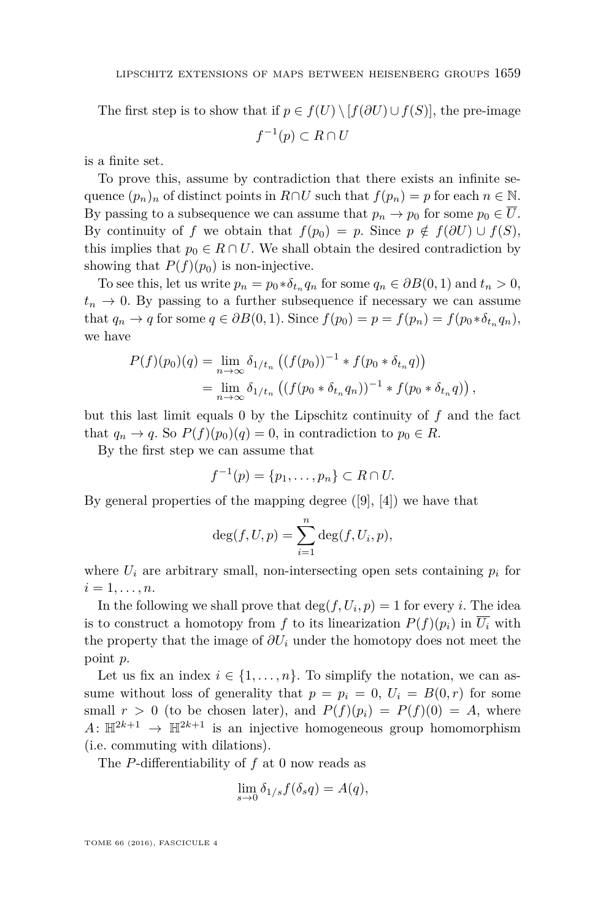The first step is to show that if  $p \in f(U) \setminus [f(\partial U) \cup f(S)]$ , the pre-image

$$
f^{-1}(p) \subset R \cap U
$$

is a finite set.

To prove this, assume by contradiction that there exists an infinite sequence  $(p_n)_n$  of distinct points in  $R \cap U$  such that  $f(p_n) = p$  for each  $n \in \mathbb{N}$ . By passing to a subsequence we can assume that  $p_n \to p_0$  for some  $p_0 \in \overline{U}$ . By continuity of *f* we obtain that  $f(p_0) = p$ . Since  $p \notin f(\partial U) \cup f(S)$ , this implies that  $p_0 \in R \cap U$ . We shall obtain the desired contradiction by showing that  $P(f)(p_0)$  is non-injective.

To see this, let us write  $p_n = p_0 * \delta_{t_n} q_n$  for some  $q_n \in \partial B(0,1)$  and  $t_n > 0$ ,  $t_n \to 0$ . By passing to a further subsequence if necessary we can assume that *q*<sub>*n*</sub> → *q* for some *q* ∈  $\partial B(0, 1)$ . Since  $f(p_0) = p = f(p_n) = f(p_0 * \delta_{t_n} q_n)$ , we have

$$
P(f)(p_0)(q) = \lim_{n \to \infty} \delta_{1/t_n} ((f(p_0))^{-1} * f(p_0 * \delta_{t_n} q))
$$
  
= 
$$
\lim_{n \to \infty} \delta_{1/t_n} ((f(p_0 * \delta_{t_n} q_n))^{-1} * f(p_0 * \delta_{t_n} q)),
$$

but this last limit equals 0 by the Lipschitz continuity of *f* and the fact that  $q_n \to q$ . So  $P(f)(p_0)(q) = 0$ , in contradiction to  $p_0 \in R$ .

By the first step we can assume that

$$
f^{-1}(p) = \{p_1, \ldots, p_n\} \subset R \cap U.
$$

By general properties of the mapping degree ([\[9\]](#page-12-6), [\[4\]](#page-12-7)) we have that

$$
\deg(f, U, p) = \sum_{i=1}^{n} \deg(f, U_i, p),
$$

where  $U_i$  are arbitrary small, non-intersecting open sets containing  $p_i$  for  $i=1,\ldots,n$ .

In the following we shall prove that  $\deg(f, U_i, p) = 1$  for every *i*. The idea is to construct a homotopy from *f* to its linearization  $P(f)(p_i)$  in  $\overline{U_i}$  with the property that the image of *∂U<sup>i</sup>* under the homotopy does not meet the point *p*.

Let us fix an index  $i \in \{1, \ldots, n\}$ . To simplify the notation, we can assume without loss of generality that  $p = p_i = 0$ ,  $U_i = B(0, r)$  for some small  $r > 0$  (to be chosen later), and  $P(f)(p_i) = P(f)(0) = A$ , where  $A: \mathbb{H}^{2k+1} \to \mathbb{H}^{2k+1}$  is an injective homogeneous group homomorphism (i.e. commuting with dilations).

The *P*-differentiability of *f* at 0 now reads as

$$
\lim_{s \to 0} \delta_{1/s} f(\delta_s q) = A(q),
$$

TOME 66 (2016), FASCICULE 4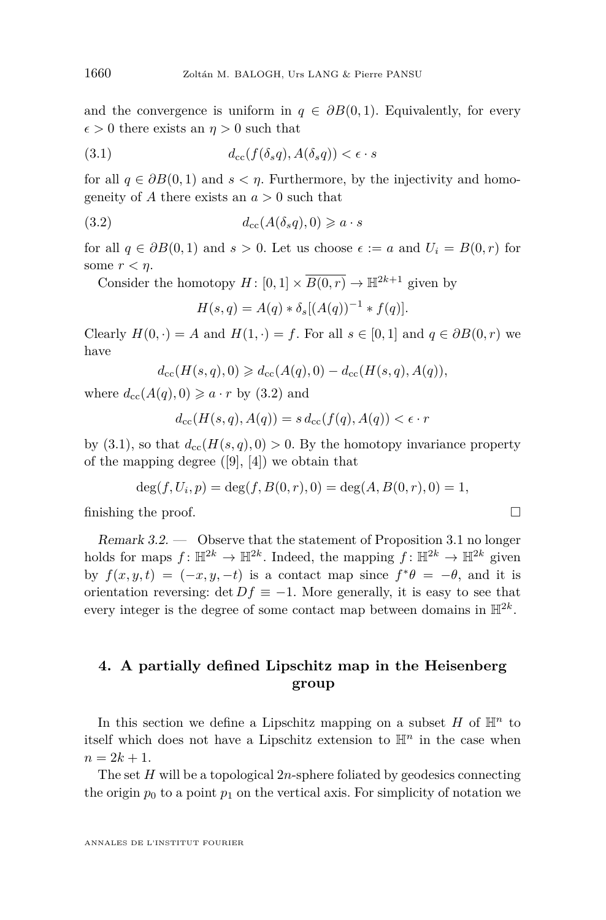and the convergence is uniform in  $q \in \partial B(0,1)$ . Equivalently, for every  $\epsilon > 0$  there exists an  $\eta > 0$  such that

<span id="page-8-1"></span>(3.1) 
$$
d_{\rm cc}(f(\delta_s q), A(\delta_s q)) < \epsilon \cdot s
$$

for all  $q \in \partial B(0,1)$  and  $s < \eta$ . Furthermore, by the injectivity and homogeneity of *A* there exists an *a >* 0 such that

(3.2) 
$$
d_{\rm cc}(A(\delta_s q), 0) \geqslant a \cdot s
$$

for all  $q \in \partial B(0,1)$  and  $s > 0$ . Let us choose  $\epsilon := a$  and  $U_i = B(0,r)$  for some *r < η*.

Consider the homotopy  $H: [0,1] \times \overline{B(0,r)} \to \mathbb{H}^{2k+1}$  given by

<span id="page-8-0"></span>
$$
H(s, q) = A(q) * \delta_s[(A(q))^{-1} * f(q)].
$$

Clearly  $H(0, \cdot) = A$  and  $H(1, \cdot) = f$ . For all  $s \in [0, 1]$  and  $q \in \partial B(0, r)$  we have

$$
d_{\rm cc}(H(s,q),0) \geq d_{\rm cc}(A(q),0) - d_{\rm cc}(H(s,q),A(q)),
$$

where  $d_{\text{cc}}(A(q),0) \geq a \cdot r$  by [\(3.2\)](#page-8-0) and

$$
d_{\rm cc}(H(s,q),A(q)) = s d_{\rm cc}(f(q),A(q)) < \epsilon \cdot r
$$

by [\(3.1\)](#page-8-1), so that  $d_{\text{cc}}(H(s,q),0) > 0$ . By the homotopy invariance property of the mapping degree  $([9], [4])$  $([9], [4])$  $([9], [4])$  $([9], [4])$  $([9], [4])$  we obtain that

$$
\deg(f, U_i, p) = \deg(f, B(0, r), 0) = \deg(A, B(0, r), 0) = 1,
$$

finishing the proof.  $\Box$ 

Remark 3.2. — Observe that the statement of Proposition [3.1](#page-6-0) no longer holds for maps  $f: \mathbb{H}^{2k} \to \mathbb{H}^{2k}$ . Indeed, the mapping  $f: \mathbb{H}^{2k} \to \mathbb{H}^{2k}$  given by  $f(x, y, t) = (-x, y, -t)$  is a contact map since  $f^*\theta = -\theta$ , and it is orientation reversing: det  $Df \equiv -1$ . More generally, it is easy to see that every integer is the degree of some contact map between domains in  $\mathbb{H}^{2k}$ .

#### **4. A partially defined Lipschitz map in the Heisenberg group**

In this section we define a Lipschitz mapping on a subset  $H$  of  $\mathbb{H}^n$  to itself which does not have a Lipschitz extension to  $\mathbb{H}^n$  in the case when  $n = 2k + 1.$ 

The set *H* will be a topological 2*n*-sphere foliated by geodesics connecting the origin  $p_0$  to a point  $p_1$  on the vertical axis. For simplicity of notation we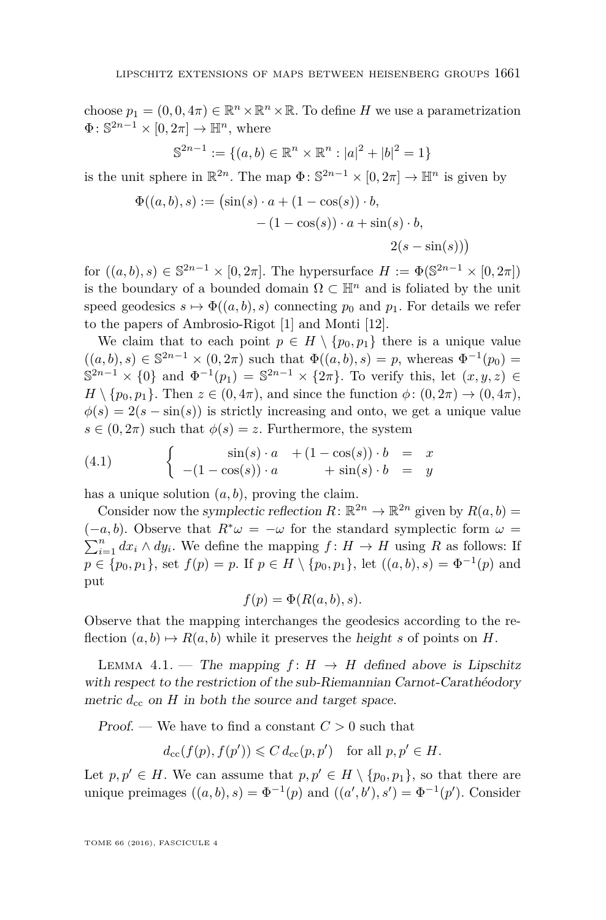choose  $p_1 = (0, 0, 4\pi) \in \mathbb{R}^n \times \mathbb{R}^n \times \mathbb{R}$ . To define *H* we use a parametrization  $\Phi: \mathbb{S}^{2n-1} \times [0, 2\pi] \to \mathbb{H}^n$ , where

$$
\mathbb{S}^{2n-1} := \{(a, b) \in \mathbb{R}^n \times \mathbb{R}^n : |a|^2 + |b|^2 = 1\}
$$

is the unit sphere in  $\mathbb{R}^{2n}$ . The map  $\Phi$ :  $\mathbb{S}^{2n-1} \times [0, 2\pi] \to \mathbb{H}^n$  is given by

$$
\Phi((a,b),s) := (\sin(s) \cdot a + (1 - \cos(s)) \cdot b, \n- (1 - \cos(s)) \cdot a + \sin(s) \cdot b, \n2(s - \sin(s)))
$$

for  $((a, b), s) \in \mathbb{S}^{2n-1} \times [0, 2\pi]$ . The hypersurface  $H := \Phi(\mathbb{S}^{2n-1} \times [0, 2\pi])$ is the boundary of a bounded domain  $\Omega \subset \mathbb{H}^n$  and is foliated by the unit speed geodesics  $s \mapsto \Phi((a, b), s)$  connecting  $p_0$  and  $p_1$ . For details we refer to the papers of Ambrosio-Rigot [\[1\]](#page-12-9) and Monti [\[12\]](#page-13-4).

We claim that to each point  $p \in H \setminus \{p_0, p_1\}$  there is a unique value  $((a, b), s) \in \mathbb{S}^{2n-1} \times (0, 2\pi)$  such that  $\Phi((a, b), s) = p$ , whereas  $\Phi^{-1}(p_0) =$  $\mathbb{S}^{2n-1} \times \{0\}$  and  $\Phi^{-1}(p_1) = \mathbb{S}^{2n-1} \times \{2\pi\}$ . To verify this, let  $(x, y, z) \in$  $H \setminus \{p_0, p_1\}$ . Then  $z \in (0, 4\pi)$ , and since the function  $\phi: (0, 2\pi) \to (0, 4\pi)$ ,  $\phi(s) = 2(s - \sin(s))$  is strictly increasing and onto, we get a unique value  $s \in (0, 2\pi)$  such that  $\phi(s) = z$ . Furthermore, the system

<span id="page-9-1"></span>(4.1) 
$$
\begin{cases} \sin(s) \cdot a + (1 - \cos(s)) \cdot b = x \\ -(1 - \cos(s)) \cdot a + \sin(s) \cdot b = y \end{cases}
$$

has a unique solution (*a, b*), proving the claim.

Consider now the symplectic reflection  $R: \mathbb{R}^{2n} \to \mathbb{R}^{2n}$  given by  $R(a, b) =$  $(-a, b)$ . Observe that  $R^* \omega = -\omega$  for the standard symplectic form  $\omega =$  $\sum_{i=1}^{n} dx_i \wedge dy_i$ . We define the mapping  $f: H \to H$  using R as follows: If  $p \in \{p_0, p_1\}$ , set  $f(p) = p$ . If  $p \in H \setminus \{p_0, p_1\}$ , let  $((a, b), s) = \Phi^{-1}(p)$  and put

$$
f(p) = \Phi(R(a, b), s).
$$

Observe that the mapping interchanges the geodesics according to the reflection  $(a, b) \mapsto R(a, b)$  while it preserves the height *s* of points on *H*.

<span id="page-9-0"></span>LEMMA 4.1. — The mapping  $f: H \to H$  defined above is Lipschitz with respect to the restriction of the sub-Riemannian Carnot-Carathéodory metric  $d_{\rm cc}$  on *H* in both the source and target space.

Proof. — We have to find a constant  $C > 0$  such that

$$
d_{\rm cc}(f(p), f(p')) \leqslant C d_{\rm cc}(p, p') \quad \text{for all } p, p' \in H.
$$

Let  $p, p' \in H$ . We can assume that  $p, p' \in H \setminus \{p_0, p_1\}$ , so that there are unique preimages  $((a, b), s) = \Phi^{-1}(p)$  and  $((a', b'), s') = \Phi^{-1}(p')$ . Consider

TOME 66 (2016), FASCICULE 4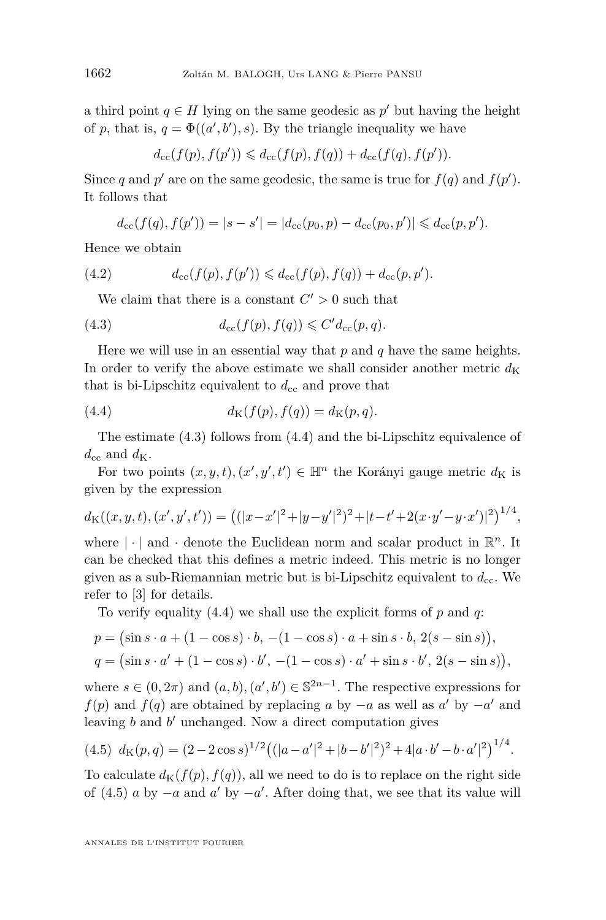a third point  $q \in H$  lying on the same geodesic as  $p'$  but having the height of *p*, that is,  $q = \Phi((a', b'), s)$ . By the triangle inequality we have

$$
d_{cc}(f(p), f(p')) \leq d_{cc}(f(p), f(q)) + d_{cc}(f(q), f(p')).
$$

Since *q* and *p*<sup> $\prime$ </sup> are on the same geodesic, the same is true for  $f(q)$  and  $f(p')$ . It follows that

<span id="page-10-3"></span>
$$
d_{\rm cc}(f(q), f(p')) = |s - s'| = |d_{\rm cc}(p_0, p) - d_{\rm cc}(p_0, p')| \leq d_{\rm cc}(p, p').
$$

Hence we obtain

(4.2) 
$$
d_{\rm cc}(f(p), f(p')) \leq d_{\rm cc}(f(p), f(q)) + d_{\rm cc}(p, p').
$$

<span id="page-10-0"></span>We claim that there is a constant  $C' > 0$  such that

(4.3) 
$$
d_{\rm cc}(f(p), f(q)) \leqslant C' d_{\rm cc}(p, q).
$$

Here we will use in an essential way that *p* and *q* have the same heights. In order to verify the above estimate we shall consider another metric  $d<sub>K</sub>$ that is bi-Lipschitz equivalent to  $d_{\rm cc}$  and prove that

<span id="page-10-1"></span>(4.4) 
$$
d_{K}(f(p), f(q)) = d_{K}(p, q).
$$

The estimate [\(4.3\)](#page-10-0) follows from [\(4.4\)](#page-10-1) and the bi-Lipschitz equivalence of  $d_{cc}$  and  $d_{K}$ .

For two points  $(x, y, t), (x', y', t') \in \mathbb{H}^n$  the Korányi gauge metric  $d_K$  is given by the expression

$$
d_{\mathcal{K}}((x, y, t), (x', y', t')) = ((|x - x'|^2 + |y - y'|^2)^2 + |t - t' + 2(x \cdot y' - y \cdot x')|^2)^{1/4},
$$

where  $|\cdot|$  and  $\cdot$  denote the Euclidean norm and scalar product in  $\mathbb{R}^n$ . It can be checked that this defines a metric indeed. This metric is no longer given as a sub-Riemannian metric but is bi-Lipschitz equivalent to  $d_{\rm cc}$ . We refer to [\[3\]](#page-12-8) for details.

To verify equality [\(4.4\)](#page-10-1) we shall use the explicit forms of *p* and *q*:

$$
p = (\sin s \cdot a + (1 - \cos s) \cdot b, -(1 - \cos s) \cdot a + \sin s \cdot b, 2(s - \sin s)),
$$
  
\n
$$
q = (\sin s \cdot a' + (1 - \cos s) \cdot b', -(1 - \cos s) \cdot a' + \sin s \cdot b', 2(s - \sin s)),
$$

where  $s \in (0, 2\pi)$  and  $(a, b), (a', b') \in \mathbb{S}^{2n-1}$ . The respective expressions for *f*(*p*) and *f*(*q*) are obtained by replacing *a* by −*a* as well as *a*<sup> $\prime$ </sup> by −*a*<sup> $\prime$ </sup> and leaving *b* and *b'* unchanged. Now a direct computation gives

<span id="page-10-2"></span>
$$
(4.5) dK(p,q) = (2 - 2\cos s)^{1/2} ((|a - a'|^2 + |b - b'|^2)^2 + 4|a \cdot b' - b \cdot a'|^2)^{1/4}.
$$

To calculate  $d_K(f(p), f(q))$ , all we need to do is to replace on the right side of [\(4.5\)](#page-10-2) *a* by  $-a$  and *a'* by  $-a'$ . After doing that, we see that its value will

ANNALES DE L'INSTITUT FOURIER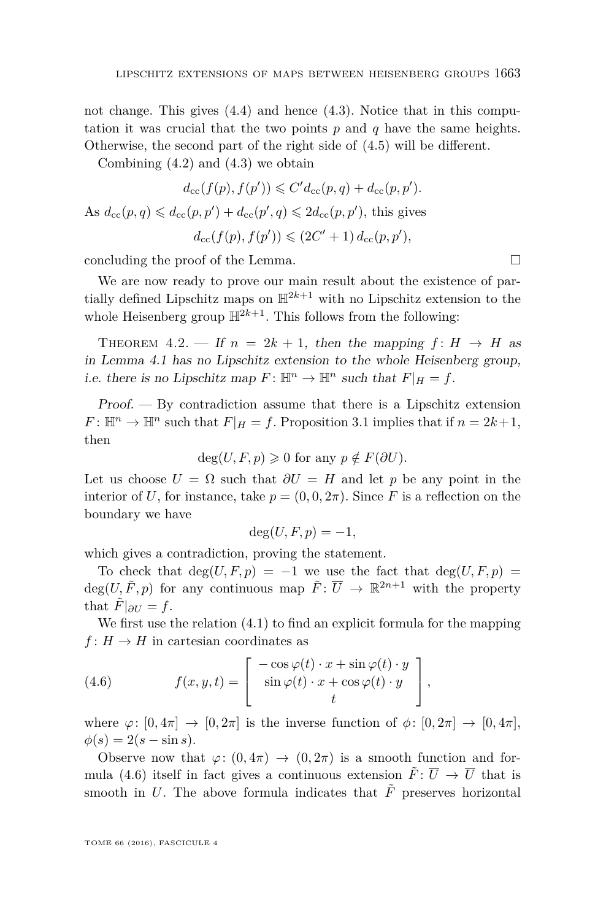not change. This gives  $(4.4)$  and hence  $(4.3)$ . Notice that in this computation it was crucial that the two points  $p$  and  $q$  have the same heights. Otherwise, the second part of the right side of [\(4.5\)](#page-10-2) will be different.

Combining  $(4.2)$  and  $(4.3)$  we obtain

$$
d_{\rm cc}(f(p), f(p')) \leq C' d_{\rm cc}(p, q) + d_{\rm cc}(p, p').
$$
  
As 
$$
d_{\rm cc}(p, q) \leq d_{\rm cc}(p, p') + d_{\rm cc}(p', q) \leq 2d_{\rm cc}(p, p'),
$$
 this gives  

$$
d_{\rm cc}(f(p), f(p')) \leq (2C' + 1) d_{\rm cc}(p, p'),
$$

concluding the proof of the Lemma.

We are now ready to prove our main result about the existence of partially defined Lipschitz maps on  $\mathbb{H}^{2k+1}$  with no Lipschitz extension to the whole Heisenberg group  $\mathbb{H}^{2k+1}$ . This follows from the following:

THEOREM 4.2. — If  $n = 2k + 1$ , then the mapping  $f: H \rightarrow H$  as in Lemma [4.1](#page-9-0) has no Lipschitz extension to the whole Heisenberg group, i.e. there is no Lipschitz map  $F: \mathbb{H}^n \to \mathbb{H}^n$  such that  $F|_H = f$ .

Proof. — By contradiction assume that there is a Lipschitz extension  $F: \mathbb{H}^n \to \mathbb{H}^n$  such that  $F|_H = f$ . Proposition [3.1](#page-6-0) implies that if  $n = 2k+1$ , then

$$
\deg(U, F, p) \geq 0 \text{ for any } p \notin F(\partial U).
$$

Let us choose  $U = \Omega$  such that  $\partial U = H$  and let p be any point in the interior of *U*, for instance, take  $p = (0, 0, 2\pi)$ . Since *F* is a reflection on the boundary we have

$$
\deg(U, F, p) = -1,
$$

which gives a contradiction, proving the statement.

To check that  $deg(U, F, p) = -1$  we use the fact that  $deg(U, F, p) =$  $deg(U, \tilde{F}, p)$  for any continuous map  $\tilde{F}: \overline{U} \to \mathbb{R}^{2n+1}$  with the property that  $\tilde{F}|_{\partial U} = f$ .

We first use the relation [\(4.1\)](#page-9-1) to find an explicit formula for the mapping  $f: H \to H$  in cartesian coordinates as

<span id="page-11-0"></span>(4.6) 
$$
f(x, y, t) = \begin{bmatrix} -\cos \varphi(t) \cdot x + \sin \varphi(t) \cdot y \\ \sin \varphi(t) \cdot x + \cos \varphi(t) \cdot y \\ t \end{bmatrix},
$$

where  $\varphi: [0, 4\pi] \to [0, 2\pi]$  is the inverse function of  $\phi: [0, 2\pi] \to [0, 4\pi]$ ,  $\phi(s) = 2(s - \sin s).$ 

Observe now that  $\varphi: (0, 4\pi) \to (0, 2\pi)$  is a smooth function and for-mula [\(4.6\)](#page-11-0) itself in fact gives a continuous extension  $\tilde{F}$ :  $\overline{U} \rightarrow \overline{U}$  that is smooth in *U*. The above formula indicates that  $\tilde{F}$  preserves horizontal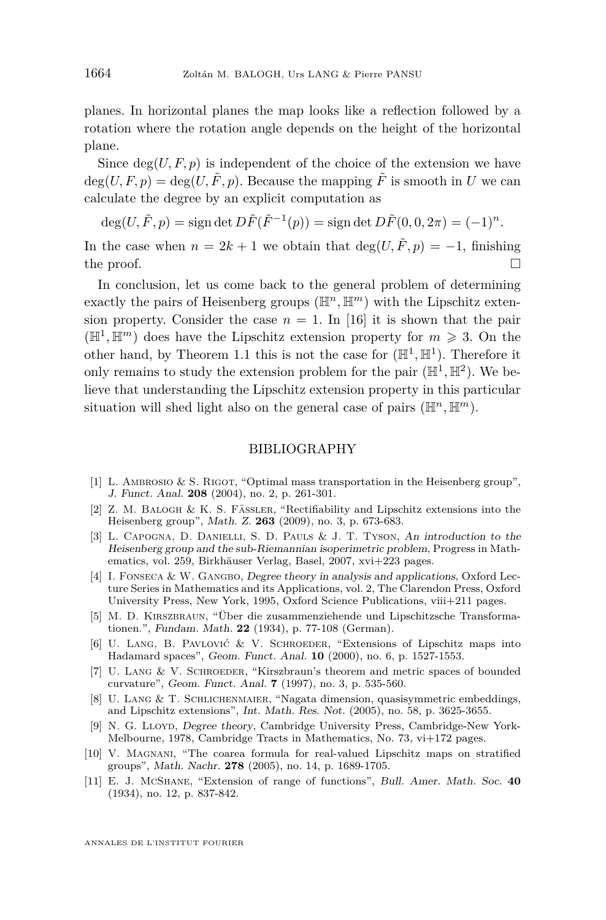planes. In horizontal planes the map looks like a reflection followed by a rotation where the rotation angle depends on the height of the horizontal plane.

Since  $deg(U, F, p)$  is independent of the choice of the extension we have  $deg(U, F, p) = deg(U, \tilde{F}, p)$ . Because the mapping  $\tilde{F}$  is smooth in *U* we can calculate the degree by an explicit computation as

$$
\deg(U, \tilde{F}, p) = \text{sign} \det D\tilde{F}(\tilde{F}^{-1}(p)) = \text{sign} \det D\tilde{F}(0, 0, 2\pi) = (-1)^n.
$$

In the case when  $n = 2k + 1$  we obtain that  $\deg(U, \tilde{F}, v) = -1$ , finishing the proof.  $\Box$ 

In conclusion, let us come back to the general problem of determining exactly the pairs of Heisenberg groups  $(\mathbb{H}^n, \mathbb{H}^m)$  with the Lipschitz extension property. Consider the case  $n = 1$ . In [\[16\]](#page-13-2) it is shown that the pair  $(\mathbb{H}^1, \mathbb{H}^m)$  does have the Lipschitz extension property for  $m \geq 3$ . On the other hand, by Theorem [1.1](#page-2-0) this is not the case for  $(\mathbb{H}^1, \mathbb{H}^1)$ . Therefore it only remains to study the extension problem for the pair  $(\mathbb{H}^1, \mathbb{H}^2)$ . We believe that understanding the Lipschitz extension property in this particular situation will shed light also on the general case of pairs  $(\mathbb{H}^n, \mathbb{H}^m)$ .

#### BIBLIOGRAPHY

- <span id="page-12-9"></span>[1] L. AMBROSIO & S. RIGOT, "Optimal mass transportation in the Heisenberg group", J. Funct. Anal. **208** (2004), no. 2, p. 261-301.
- <span id="page-12-5"></span>[2] Z. M. Balogh & K. S. Fässler, "Rectifiability and Lipschitz extensions into the Heisenberg group", Math. Z. **263** (2009), no. 3, p. 673-683.
- <span id="page-12-8"></span>[3] L. Capogna, D. Danielli, S. D. Pauls & J. T. Tyson, An introduction to the Heisenberg group and the sub-Riemannian isoperimetric problem, Progress in Mathematics, vol. 259, Birkhäuser Verlag, Basel, 2007, xvi+223 pages.
- <span id="page-12-7"></span>[4] I. FONSECA & W. GANGBO, Degree theory in analysis and applications, Oxford Lecture Series in Mathematics and its Applications, vol. 2, The Clarendon Press, Oxford University Press, New York, 1995, Oxford Science Publications, viii+211 pages.
- <span id="page-12-1"></span>[5] M. D. Kirszbraun, "Über die zusammenziehende und Lipschitzsche Transformationen.", Fundam. Math. **22** (1934), p. 77-108 (German).
- <span id="page-12-3"></span>[6] U. Lang, B. Pavlović & V. Schroeder, "Extensions of Lipschitz maps into Hadamard spaces", Geom. Funct. Anal. **10** (2000), no. 6, p. 1527-1553.
- <span id="page-12-2"></span>[7] U. Lang & V. Schroeder, "Kirszbraun's theorem and metric spaces of bounded curvature", Geom. Funct. Anal. **7** (1997), no. 3, p. 535-560.
- <span id="page-12-4"></span>[8] U. Lang & T. Schlichenmaier, "Nagata dimension, quasisymmetric embeddings, and Lipschitz extensions", Int. Math. Res. Not. (2005), no. 58, p. 3625-3655.
- <span id="page-12-6"></span>[9] N. G. Lloyd, Degree theory, Cambridge University Press, Cambridge-New York-Melbourne, 1978, Cambridge Tracts in Mathematics, No. 73, vi+172 pages.
- <span id="page-12-10"></span>[10] V. MAGNANI, "The coarea formula for real-valued Lipschitz maps on stratified groups", Math. Nachr. **278** (2005), no. 14, p. 1689-1705.
- <span id="page-12-0"></span>[11] E. J. McShane, "Extension of range of functions", Bull. Amer. Math. Soc. **40** (1934), no. 12, p. 837-842.